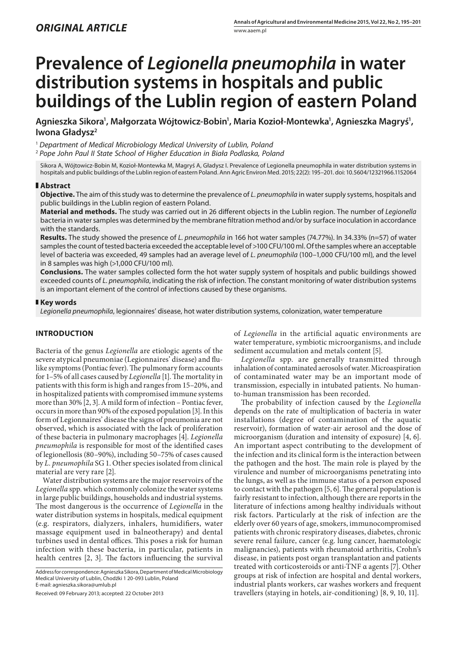# **Prevalence of** *Legionella pneumophila* **in water distribution systems in hospitals and public buildings of the Lublin region of eastern Poland**

Agnieszka Sikora<sup>ı</sup>, Małgorzata Wójtowicz-Bobin<sup>ı</sup>, Maria Kozioł-Montewka<sup>ı</sup>, Agnieszka Magryś<sup>ı</sup>, **Iwona Gładysz2**

<sup>1</sup> *Department of Medical Microbiology Medical University of Lublin, Poland*

<sup>2</sup> *Pope John Paul II State School of Higher Education in Biała Podlaska, Poland*

Sikora A, Wójtowicz-Bobin M, Kozioł-Montewka M, Magryś A, Gładysz I. Prevalence of Legionella pneumophila in water distribution systems in hospitals and public buildings of the Lublin region of eastern Poland. Ann Agric Environ Med. 2015; 22(2): 195–201. doi: 10.5604/12321966.1152064

### **Abstract**

**Objective.** The aim of this study was to determine the prevalence of *L. pneumophila* in water supply systems, hospitals and public buildings in the Lublin region of eastern Poland.

**Material and methods.** The study was carried out in 26 different objects in the Lublin region. The number of *Legionella* bacteria in water samples was determined by the membrane filtration method and/or by surface inoculation in accordance with the standards.

**Results.** The study showed the presence of *L. pneumophila* in 166 hot water samples (74.77%). In 34.33% (n=57) of water samples the count of tested bacteria exceeded the acceptable level of >100 CFU/100 ml. Of the samples where an acceptable level of bacteria was exceeded, 49 samples had an average level of *L. pneumophila* (100–1,000 CFU/100 ml), and the level in 8 samples was high (>1,000 CFU/100 ml).

**Conclusions.** The water samples collected form the hot water supply system of hospitals and public buildings showed exceeded counts of *L. pneumophila*, indicating the risk of infection. The constant monitoring of water distribution systems is an important element of the control of infections caused by these organisms.

## **Key words**

*Legionella pneumophila*, legionnaires' disease, hot water distribution systems, colonization, water temperature

# **INTRODUCTION**

Bacteria of the genus *Legionella* are etiologic agents of the severe atypical pneumoniae (Legionnaires' disease) and flulike symptoms (Pontiac fever). The pulmonary form accounts for 1–5% of all cases caused by *Legionella* [1].The mortality in patients with this form is high and ranges from 15–20%, and in hospitalized patients with compromised immune systems more than 30% [2, 3].A mild form of infection – Pontiac fever, occurs in more than 90% of the exposed population [3]. In this form of Legionnaires' disease the signs of pneumonia are not observed, which is associated with the lack of proliferation of these bacteria in pulmonary macrophages [4]. *Legionella pneumophila* is responsible for most of the identified cases of legionellosis (80–90%), including 50–75% of cases caused by *L. pneumophila* SG 1. Other species isolated from clinical material are very rare [2].

Water distribution systems are the major reservoirs of the *Legionella* spp. which commonly colonize the water systems in large public buildings, households and industrial systems. The most dangerous is the occurrence of *Legionella* in the water distribution systems in hospitals, medical equipment (e.g. respirators, dialyzers, inhalers, humidifiers, water massage equipment used in balneotherapy) and dental turbines used in dental offices. This poses a risk for human infection with these bacteria, in particular, patients in health centres [2, 3]. The factors influencing the survival

Address for correspondence: Agnieszka Sikora, Department of Medical Microbiology Medical University of Lublin, Chodźki 1 20-093 Lublin, Poland E-mail: [agnieszka.sikora@umlub.pl](mailto:agnieszka.sikora24@wp.pl)

Received: 09 February 2013; accepted: 22 October 2013

of *Legionella* in the artificial aquatic environments are water temperature, symbiotic microorganisms, and include sediment accumulation and metals content [5].

*Legionella* spp. are generally transmitted through inhalation of contaminated aerosols of water. Microaspiration of contaminated water may be an important mode of transmission, especially in intubated patients. No humanto-human transmission has been recorded.

The probability of infection caused by the *Legionella* depends on the rate of multiplication of bacteria in water installations (degree of contamination of the aquatic reservoir), formation of water-air aerosol and the dose of microorganism (duration and intensity of exposure) [4, 6]. An important aspect contributing to the development of the infection and its clinical form is the interaction between the pathogen and the host. The main role is played by the virulence and number of microorganisms penetrating into the lungs, as well as the immune status of a person exposed to contact with the pathogen [5, 6]. The general population is fairly resistant to infection, although there are reports in the literature of infections among healthy individuals without risk factors. Particularly at the risk of infection are the elderly over 60 years of age, smokers, immunocompromised patients with chronic respiratory diseases, diabetes, chronic severe renal failure, cancer (e.g. lung cancer, haematologic malignancies), patients with rheumatoid arthritis, Crohn's disease, in patients post organ transplantation and patients treated with corticosteroids or anti-TNF α agents [7]. Other groups at risk of infection are hospital and dental workers, industrial plants workers, car washes workers and frequent travellers (staying in hotels, air-conditioning) [8, 9, 10, 11].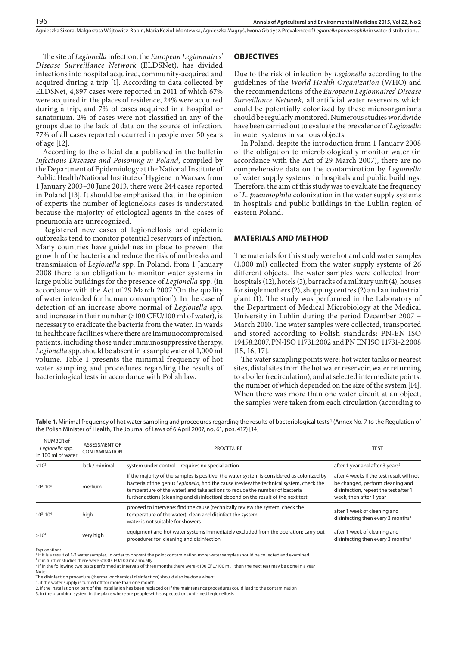Agnieszka Sikora, Małgorzata Wójtowicz-Bobin, Maria Kozioł-Montewka, Agnieszka Magryś, Iwona Gładysz . Prevalence of *Legionella pneumophila* in water distribution…

The site of *Legionella* infection, the *European Legionnaires' Disease Surveillance Network* (ELDSNet), has divided infections into hospital acquired, community-acquired and acquired during a trip [1]. According to data collected by ELDSNet, 4,897 cases were reported in 2011 of which 67% were acquired in the places of residence, 24% were acquired during a trip, and 7% of cases acquired in a hospital or sanatorium. 2% of cases were not classified in any of the groups due to the lack of data on the source of infection. 77% of all cases reported occurred in people over 50 years of age [12].

According to the official data published in the bulletin *Infectious Diseases and Poisoning in Poland*, compiled by the Department of Epidemiology at the National Institute of Public Health/National Institute of Hygiene in Warsaw from 1 January 2003–30 June 2013, there were 244 cases reported in Poland [13]. It should be emphasized that in the opinion of experts the number of legionelosis cases is understated because the majority of etiological agents in the cases of pneumonia are unrecognized.

Registered new cases of legionellosis and epidemic outbreaks tend to monitor potential reservoirs of infection. Many countries have guidelines in place to prevent the growth of the bacteria and reduce the risk of outbreaks and transmission of *Legionella* spp. In Poland, from 1 January 2008 there is an obligation to monitor water systems in large public buildings for the presence of *Legionella* spp. (in accordance with the Act of 29 March 2007 'On the quality of water intended for human consumption'). In the case of detection of an increase above normal of *Legionella* spp. and increase in their number (>100 CFU/100 ml of water), is necessary to eradicate the bacteria from the water. In wards in healthcare facilities where there are immunocompromised patients, including those under immunosuppressive therapy, *Legionella* spp. should be absent in a sample water of 1,000 ml volume. Table 1 presents the minimal frequency of hot water sampling and procedures regarding the results of bacteriological tests in accordance with Polish law.

## **OBJECTIVES**

Due to the risk of infection by *Legionella* according to the guidelines of the *World Health Organization* (WHO) and the recommendations of the *European Legionnaires' Disease Surveillance Network,* all artificial water reservoirs which could be potentially colonized by these microorganisms should be regularly monitored. Numerous studies worldwide have been carried out to evaluate the prevalence of *Legionella* in water systems in various objects.

In Poland, despite the introduction from 1 January 2008 of the obligation to microbiologically monitor water (in accordance with the Act of 29 March 2007), there are no comprehensive data on the contamination by *Legionella*  of water supply systems in hospitals and public buildings. Therefore, the aim of this study was to evaluate the frequency of *L. pneumophila* colonization in the water supply systems in hospitals and public buildings in the Lublin region of eastern Poland.

## **MATERIALS AND METHOD**

The materials for this study were hot and cold water samples (1,000 ml) collected from the water supply systems of 26 different objects. The water samples were collected from hospitals (12), hotels (5), barracks of a military unit (4), houses for single mothers (2), shopping centres (2) and an industrial plant (1). The study was performed in the Laboratory of the Department of Medical Microbiology at the Medical University in Lublin during the period December 2007 – March 2010. The water samples were collected, transported and stored according to Polish standards: PN-EN ISO 19458:2007, PN-ISO 11731:2002 and PN EN ISO 11731-2:2008 [15, 16, 17].

The water sampling points were: hot water tanks or nearest sites, distal sites from the hot water reservoir, water returning to a boiler (recirculation), and at selected intermediate points, the number of which depended on the size of the system [14]. When there was more than one water circuit at an object, the samples were taken from each circulation (according to

Table 1. Minimal frequency of hot water sampling and procedures regarding the results of bacteriological tests<sup>1</sup> (Annex No. 7 to the Regulation of the Polish Minister of Health, The Journal of Laws of 6 April 2007, no. 61, pos. 417) [14]

| NUMBER of<br>Legionella spp.<br>in 100 ml of water | ASSESSMENT OF<br><b>CONTAMINATION</b> | <b>PROCEDURE</b>                                                                                                                                                                                                                                                                                                                                           | <b>TEST</b>                                                                                                                                       |
|----------------------------------------------------|---------------------------------------|------------------------------------------------------------------------------------------------------------------------------------------------------------------------------------------------------------------------------------------------------------------------------------------------------------------------------------------------------------|---------------------------------------------------------------------------------------------------------------------------------------------------|
| < 10 <sup>2</sup>                                  | lack / minimal                        | system under control - requires no special action                                                                                                                                                                                                                                                                                                          | after 1 year and after 3 years <sup>2</sup>                                                                                                       |
| $10^{2}-10^{3}$                                    | medium                                | if the majority of the samples is positive, the water system is considered as colonized by<br>bacteria of the genus Legionella, find the cause (review the technical system, check the<br>temperature of the water) and take actions to reduce the number of bacteria<br>further actions (cleaning and disinfection) depend on the result of the next test | after 4 weeks if the test result will not<br>be changed, perform cleaning and<br>disinfection, repeat the test after 1<br>week, then after 1 year |
| $10^3 - 10^4$                                      | high                                  | proceed to intervene: find the cause (technically review the system, check the<br>temperature of the water), clean and disinfect the system<br>water is not suitable for showers                                                                                                                                                                           | after 1 week of cleaning and<br>disinfecting then every 3 months <sup>3</sup>                                                                     |
| >10 <sup>4</sup>                                   | very high                             | equipment and hot water systems immediately excluded from the operation; carry out<br>procedures for cleaning and disinfection                                                                                                                                                                                                                             | after 1 week of cleaning and<br>disinfecting then every 3 months <sup>3</sup>                                                                     |

Explanation:

<sup>1</sup> if it is a result of 1-2 water samples, in order to prevent the point contamination more water samples should be collected and examined

<sup>2</sup> if in further studies there were <100 CFU/100 ml annually

 $^3$  if in the following two tests performed at intervals of three months there were <100 CFU/100 ml, then the next test may be done in a year

Note: The disinfection procedure (thermal or chemical disinfection) should also be done when:

1. if the water supply is turned off for more than one month

2. if the installation or part of the installation has been replaced or if the maintenance procedures could lead to the contamination 3. in the plumbing system in the place where are people with suspected or confirmed legionellosis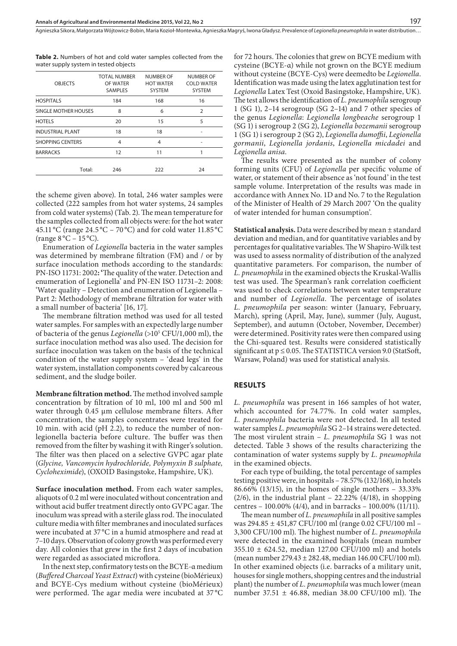**Table 2.** Numbers of hot and cold water samples collected from the water supply system in tested objects

| <b>OBJECTS</b>              | <b>TOTAL NUMBER</b><br>OF WATER<br>SAMPLES | <b>NUMBER OF</b><br><b>HOT WATER</b><br><b>SYSTEM</b> | <b>NUMBER OF</b><br><b>COLD WATER</b><br><b>SYSTEM</b> |
|-----------------------------|--------------------------------------------|-------------------------------------------------------|--------------------------------------------------------|
| <b>HOSPITALS</b>            | 184                                        | 168                                                   | 16                                                     |
| <b>SINGLE MOTHER HOUSES</b> | 8                                          | 6                                                     | $\overline{2}$                                         |
| <b>HOTELS</b>               | 20                                         | 15                                                    | 5                                                      |
| <b>INDUSTRIAL PLANT</b>     | 18                                         | 18                                                    |                                                        |
| <b>SHOPPING CENTERS</b>     | 4                                          | 4                                                     |                                                        |
| <b>BARRACKS</b>             | 12                                         | 11                                                    |                                                        |
| Total:                      | 246                                        | 222                                                   | 24                                                     |
|                             |                                            |                                                       |                                                        |

the scheme given above). In total, 246 water samples were collected (222 samples from hot water systems, 24 samples from cold water systems) (Tab. 2). The mean temperature for the samples collected from all objects were: for the hot water 45.11 °C (range 24.5 °C – 70 °C) and for cold water 11.85 °C (range  $8^{\circ}$ C – 15 $^{\circ}$ C).

Enumeration of *Legionella* bacteria in the water samples was determined by membrane filtration (FM) and / or by surface inoculation methods according to the standards: PN-ISO 11731: 2002**: '**The quality of the water. Detection and enumeration of Legionella' and PN-EN ISO 11731–2: 2008: 'Water quality – Detection and enumeration of Legionella – Part 2: Methodology of membrane filtration for water with a small number of bacteria' [16, 17].

The membrane filtration method was used for all tested water samples. For samples with an expectedly large number of bacteria of the genus *Legionella* (>105 CFU/1,000 ml), the surface inoculation method was also used. The decision for surface inoculation was taken on the basis of the technical condition of the water supply system – 'dead legs' in the water system, installation components covered by calcareous sediment, and the sludge boiler.

**Membrane filtration method.** The method involved sample concentration by filtration of 10 ml, 100 ml and 500 ml water through 0.45 µm cellulose membrane filters. After concentration, the samples concentrates were treated for 10 min. with acid (pH 2.2), to reduce the number of nonlegionella bacteria before culture. The buffer was then removed from the filter by washing it with Ringer's solution. The filter was then placed on a selective GVPC agar plate (*Glycine, Vancomycin hydrochloride, Polymyxin B sulphate, Cycloheximide*), (OXOID Basingstoke, Hampshire, UK).

**Surface inoculation method.** From each water samples, aliquots of 0.2 ml were inoculated without concentration and without acid buffer treatment directly onto GVPC agar. The inoculum was spread with a sterile glass rod. The inoculated culture media with filter membranes and inoculated surfaces were incubated at 37 °C in a humid atmosphere and read at 7–10 days. Observation of colony growth was performed every day. All colonies that grew in the first 2 days of incubation were regarded as associated microflora.

In the next step, confirmatory tests on the BCYE-α medium (*Buffered Charcoal Yeast Extract*)with cysteine (bioMérieux) and BCYE-Cys medium without cysteine (bioMérieux) were performed. The agar media were incubated at 37 °C

for 72 hours. The colonies that grew on BCYE medium with cysteine (BCYE-α) while not grown on the BCYE medium without cysteine (BCYE-Cys) were deemedto be *Legionella*. Identification was made using the latex agglutination test for *Legionella* Latex Test (Oxoid Basingstoke, Hampshire, UK). The test allows the identification of *L. pneumophila* serogroup 1 (SG 1), 2–14 serogroup (SG 2–14) and 7 other species of the genus *Legionella*: *Legionella longbeache* serogroup 1 (SG 1) i serogroup 2 (SG 2), *Legionella bozemanii* serogroup 1 (SG 1) i serogroup 2 (SG 2), *Legionella dumoffii*, *Legionella gormanii*, *Legionella jordanis*, *Legionella micdadei* and *Legionella anisa*.

The results were presented as the number of colony forming units (CFU) of *Legionella* per specific volume of water, or statement of their absence as 'not found' in the test sample volume. Interpretation of the results was made in accordance with Annex No. 1D and No. 7 to the Regulation of the Minister of Health of 29 March 2007 'On the quality of water intended for human consumption'.

**Statistical analysis.** Data were described by mean ± standard deviation and median, and for quantitative variables and by percentages for qualitative variables. The W Shapiro-Wilk test was used to assess normality of distribution of the analyzed quantitative parameters. For comparison, the number of *L. pneumophila* in the examined objects the Kruskal-Wallis test was used. The Spearman's rank correlation coefficient was used to check correlations between water temperature and number of *Legionella*. The percentage of isolates *L. pneumophila* per season: winter (January, February, March), spring (April, May, June), summer (July, August, September), and autumn (October, November, December) were determined. Positivity rates were then compared using the Chi-squared test. Results were considered statistically significant at p ≤ 0.05. The STATISTICA version 9.0 (StatSoft, Warsaw, Poland) was used for statistical analysis.

## **RESULTS**

*L. pneumophila* was present in 166 samples of hot water, which accounted for 74.77%. In cold water samples, *L. pneumophila* bacteria were not detected. In all tested water samples *L. pneumophila* SG 2–14 strains were detected. The most virulent strain – *L. pneumophila* SG 1 was not detected. Table 3 shows of the results characterizing the contamination of water systems supply by *L. pneumophila* in the examined objects.

For each type of building, the total percentage of samples testing positive were, in hospitals – 78.57% (132/168), in hotels 86.66% (13/15), in the homes of single mothers – 33.33%  $(2/6)$ , in the industrial plant – 22.22%  $(4/18)$ , in shopping centres – 100.00% (4/4), and in barracks – 100.00% (11/11).

The mean number of *L. pneumophila* in all positive samples was 294.85 ± 451,87 CFU/100 ml (range 0.02 CFU/100 ml – 3,300 CFU/100 ml). The highest number of *L. pneumophila* were detected in the examined hospitals (mean number  $355.10 \pm 624.52$ , median 127.00 CFU/100 ml) and hotels (mean number 279.43 ± 282.48, median 146.00 CFU/100 ml). In other examined objects (i.e. barracks of a military unit, houses for single mothers, shopping centres and the industrial plant) the number of *L. pneumophila* was much lower (mean number 37.51 ± 46.88, median 38.00 CFU/100 ml). The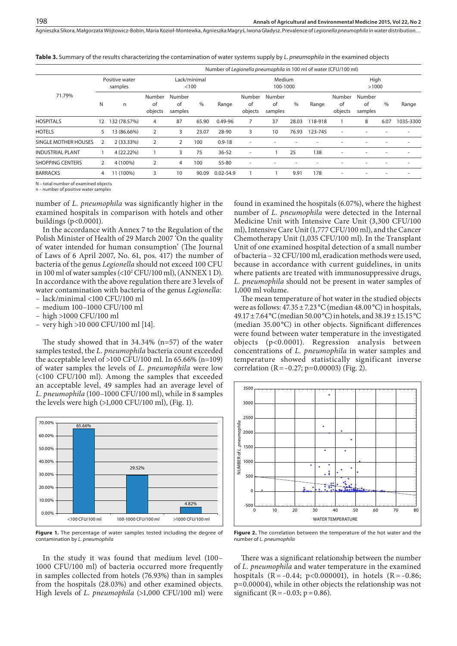Agnieszka Sikora, Małgorzata Wójtowicz-Bobin, Maria Kozioł-Montewka, Agnieszka Magryś, Iwona Gładysz . Prevalence of *Legionella pneumophila* in water distribution…

Number of *Legionella pneumophila* in 100 ml of water (CFU/100 ml) 71.79% Positive water samples Lack/minimal  $< 100$ Medium 100-1000 High  $>1000$ N n Number of objects Number of samples % Range Number of objects Number of samples % Range Number of objects Number of samples % Range HOSPITALS 12 132 (78.57%) 4 87 65.90 0.49-96 7 37 28.03 118-918 1 8 6.07 1035-3300 HOTELS 5 13 (86.66%) 2 3 23.07 28-90 3 10 76.93 123-745 - - - - SINGLE MOTHER HOUSES 2 2 (33.33%) 2 2 100 0.9-18 -INDUSTRIAL PLANT 1 4 (22.22%) 1 3 75 36-52 - 1 25 138 - - - - SHOPPING CENTERS 2 4 (100%) 2 4 100 55-80 - - - - - - - - BARRACKS 4 11 (100%) 3 10 90.09 0.02-54.9 1 1 9.91 178 - - - -

**Table 3.** Summary of the results characterizing the contamination of water systems supply by *L. pneumophila* in the examined objects

N – total number of examined objects

 $n -$  number of positive water samples

number of *L. pneumophila* was significantly higher in the examined hospitals in comparison with hotels and other buildings (p<0.0001).

In the accordance with Annex 7 to the Regulation of the Polish Minister of Health of 29 March 2007 'On the quality of water intended for human consumption' (The Journal of Laws of 6 April 2007, No. 61, pos. 417) the number of bacteria of the genus *Legionella* should not exceed 100 CFU in 100 ml of water samples (<102 CFU/100 ml), (ANNEX 1 D). In accordance with the above regulation there are 3 levels of water contamination with bacteria of the genus *Legionella*:

- lack/minimal <100 CFU/100 ml
- medium 100–1000 CFU/100 ml
- high >1000 CFU/100 ml
- very high >10 000 CFU/100 ml [14].

The study showed that in 34.34% (n=57) of the water samples tested, the *L. pneumophila* bacteria count exceeded the acceptable level of >100 CFU/100 ml. In 65.66% (n=109) of water samples the levels of *L. pneumophila* were low (<100 CFU/100 ml). Among the samples that exceeded an acceptable level, 49 samples had an average level of *L. pneumophila* (100–1000 CFU/100 ml), while in 8 samples the levels were high (>1,000 CFU/100 ml), (Fig. 1).



**Figure 1.** The percentage of water samples tested including the degree of contamination by *L. pneumophila*

In the study it was found that medium level (100– 1000 CFU/100 ml) of bacteria occurred more frequently in samples collected from hotels (76.93%) than in samples from the hospitals (28.03%) and other examined objects. High levels of *L. pneumophila* (>1,000 CFU/100 ml) were

found in examined the hospitals (6.07%), where the highest number of *L. pneumophila* were detected in the Internal Medicine Unit with Intensive Care Unit (3,300 CFU/100 ml), Intensive Care Unit (1,777 CFU/100 ml), and the Cancer Chemotherapy Unit (1,035 CFU/100 ml). In the Transplant Unit of one examined hospital detection of a small number of bacteria – 32 CFU/100 ml, eradication methods were used, because in accordance with current guidelines, in units where patients are treated with immunosuppressive drugs, *L. pneumophila* should not be present in water samples of 1,000 ml volume.

The mean temperature of hot water in the studied objects were as follows:  $47.35 \pm 7.23 \degree C$  (median  $48.00 \degree C$ ) in hospitals, 49.17±7.64°C (median 50.00°C) in hotels, and 38.19±15.15°C (median 35.00 °C) in other objects. Significant differences were found between water temperature in the investigated objects (p<0.0001). Regression analysis between concentrations of *L. pneumophila* in water samples and temperature showed statistically significant inverse correlation (R =  $-0.27$ ; p=0.00003) (Fig. 2).



**Figure 2.** The correlation between the temperature of the hot water and the number of *L. pneumophila*

There was a significant relationship between the number of *L. pneumophila* and water temperature in the examined hospitals (R = -0.44; p<0.000001), in hotels (R = -0.86; p=0.00004), while in other objects the relationship was not significant (R =  $-0.03$ ; p = 0.86).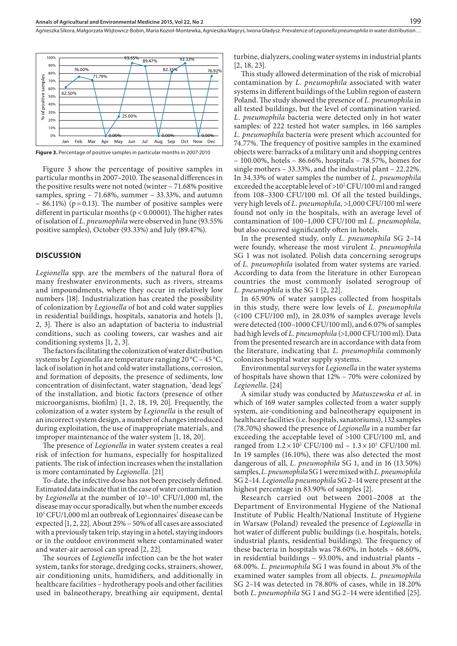

**Figure 3.** Percentage of positive samples in particular months in 2007-2010

Figure 3 show the percentage of positive samples in particular months in 2007–2010. The seasonal differences in the positive results were not noted (winter – 71.68% positive samples, spring – 71.68%, summer – 33.33%, and autumn  $-$  86.11%) (p=0.13). The number of positive samples were different in particular months (p < 0.00001). The higher rates of isolation of *L. pneumophila* were observed in June (93.55% positive samples), October (93.33%) and July (89.47%).

#### **DISCUSSION**

*Legionella* spp. are the members of the natural flora of many freshwater environments, such as rivers, streams and impoundments, where they occur in relatively low numbers [18]. Industrialization has created the possibility of colonization by *Legionella* of hot and cold water supplies in residential buildings, hospitals, sanatoria and hotels [1, 2, 3]. There is also an adaptation of bacteria to industrial conditions, such as cooling towers, car washes and air conditioning systems [1, 2, 3].

The factors facilitating the colonization of water distribution systems by *Legionella* are temperature ranging 20 °C – 45 °C, lack of isolation in hot and cold water installations, corrosion, and formation of deposits, the presence of sediments, low concentration of disinfectant, water stagnation, 'dead legs' of the installation, and biotic factors (presence of other microorganisms, biofilm) [1, 2, 18, 19, 20]. Frequently, the colonization of a water system by *Legionella* is the result of an incorrect system design, a number of changes introduced during exploitation, the use of inappropriate materials, and improper maintenance of the water system [1, 18, 20].

The presence of *Legionella* in water system creates a real risk of infection for humans, especially for hospitalized patients. The risk of infection increases when the installation is more contaminated by *Legionella*. [21]

To-date, the infective dose has not been precisely defined. Estimated data indicate that in the case of water contamination by *Legionella* at the number of  $10^3$ – $10^5$  CFU/1,000 ml, the disease may occur sporadically, but when the number exceeds 105 CFU/1,000 ml an outbreak of Legionnaires' disease can be expected [1, 2, 22]. About 25% – 50% of all cases are associated with a previously taken trip, staying in a hotel, staying indoors or in the outdoor environment where contaminated water and water-air aerosol can spread [2, 22].

The sources of *Legionella* infection can be the hot water system, tanks for storage, dredging cocks, strainers, shower, air conditioning units, humidifiers, and additionally in healthcare facilities – hydrotherapy pools and other facilities used in balneotherapy, breathing air equipment, dental

turbine, dialyzers, cooling water systems in industrial plants [2, 18, 23].

This study allowed determination of the risk of microbial contamination by *L. pneumophila* associated with water systems in different buildings of the Lublin region of eastern Poland. The study showed the presence of *L. pneumophila* in all tested buildings, but the level of contamination varied. *L. pneumophila* bacteria were detected only in hot water samples: of 222 tested hot water samples, in 166 samples *L. pneumophila* bacteria were present which accounted for 74.77%. The frequency of positive samples in the examined objects were: barracks of a military unit and shopping centres – 100.00%, hotels – 86.66%, hospitals – 78.57%, homes for single mothers – 33.33%, and the industrial plant – 22.22%. In 34.33% of water samples the number of *L. pneumophila* exceeded the acceptable level of  $>10^2$  CFU/100 ml and ranged from 108–3300 CFU/100 ml. Of all the tested buildings, very high levels of *L. pneumophila,* >1,000 CFU/100 ml were found not only in the hospitals, with an average level of contamination of 100–1,000 CFU/100 ml *L. pneumophila,*  but also occurred significantly often in hotels.

In the presented study, only *L. pneumophila* SG 2–14 were foundy, wherease the most virulent *L. pneumophila* SG 1 was not isolated. Polish data concerning serogrups of *L. pneumophila* isolated from water systems are varied. According to data from the literature in other European countries the most commonly isolated serogroup of *L. pneumophila* is the SG 1 [2, 22].

In 65.90% of water samples collected from hospitals in this study, there were low levels of *L. pneumophila*  (<100 CFU/100 ml), in 28.03% of samples average levels were detected (100–1000 CFU/100 ml), and 6.07% of samples had high levels of *L. pneumophila* (>1,000 CFU/100 ml). Data from the presented research are in accordance with data from the literature, indicating that *L. pneumophila* commonly colonizes hospital water supply systems.

Environmental surveys for *Legionella* in the water systems of hospitals have shown that 12% – 70% were colonized by *Legionella*. [24]

A similar study was conducted by *Matuszewska et al*. in which of 169 water samples collected from a water supply system, air-conditioning and balneotherapy equipment in healthcare facilities (i.e. hospitals, sanatoriums), 132 samples (78.70%) showed the presence of *Legionella* in a number far exceeding the acceptable level of >100 CFU/100 ml, and ranged from  $1.2 \times 10^2$  CFU/100 ml –  $1.3 \times 10^5$  CFU/100 ml. In 19 samples (16.10%), there was also detected the most dangerous of all, *L. pneumophila* SG 1, and in 16 (13.50%) samples, *L. pneumophila* SG 1 were mixed with *L. pneumophila* SG 2–14. *Legionella pneumophila* SG 2–14 were present at the highest percentage in 83.90% of samples [2].

Research carried out between 2001–2008 at the Department of Environmental Hygiene of the National Institute of Public Health/National Institute of Hygiene in Warsaw (Poland) revealed the presence of *Legionella* in hot water of different public buildings (i.e. hospitals, hotels, industrial plants, residential buildings). The frequency of these bacteria in hospitals was 78.60%, in hotels – 68.60%, in residential buildings – 93.00%, and industrial plants – 68.00%. *L. pneumophila* SG 1 was found in about 3% of the examined water samples from all objects. *L. pneumophila* SG 2–14 was detected in 78.80% of cases, while in 18.20% both *L. pneumophila* SG 1 and SG 2–14 were identified [25].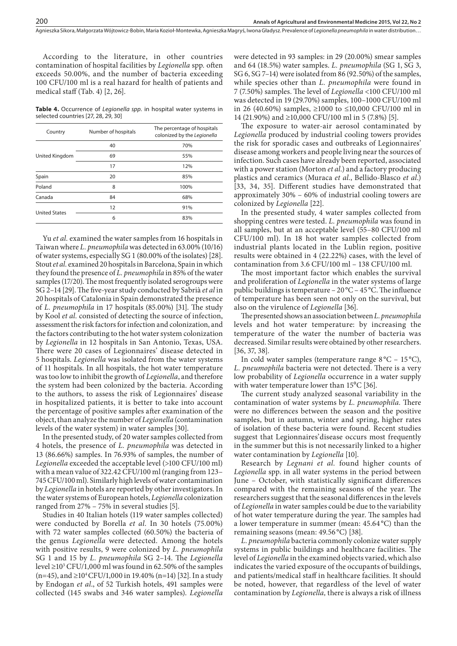Agnieszka Sikora, Małgorzata Wójtowicz-Bobin, Maria Kozioł-Montewka, Agnieszka Magryś, Iwona Gładysz . Prevalence of *Legionella pneumophila* in water distribution…

According to the literature, in other countries contamination of hospital facilities by *Legionella* spp*.* often exceeds 50.00%, and the number of bacteria exceeding 100 CFU/100 ml is a real hazard for health of patients and medical staff (Tab. 4) [2, 26].

**Table 4.** Occurrence of *Legionella spp.* in hospital water systems in selected countries [27, 28, 29, 30]

| Country              | Number of hospitals | The percentage of hospitals<br>colonized by the Legionella |
|----------------------|---------------------|------------------------------------------------------------|
|                      | 40                  | 70%                                                        |
| United Kingdom       | 69                  | 55%                                                        |
|                      | 17                  | 12%                                                        |
| Spain                | 20                  | 85%                                                        |
| Poland               | 8                   | 100%                                                       |
| Canada               | 84                  | 68%                                                        |
|                      | 12                  | 91%                                                        |
| <b>United States</b> | 6                   | 83%                                                        |

Yu *et al.* examined the water samples from 16 hospitals in Taiwan where *L. pneumophila* was detected in 63.00% (10/16) of water systems, especially SG 1 (80.00% of the isolates) [28]. Stout *et al.* examined 20 hospitals in Barcelona, Spain in which they found the presence of *L. pneumophila* in 85% of the water samples (17/20). The most frequently isolated serogroups were SG 2–14 [29]. The five-year study conducted by Sabrià *et al* in 20 hospitals of Catalonia in Spain demonstrated the presence of *L. pneumophila* in 17 hospitals (85.00%) [31]. The study by Kool *et al.* consisted of detecting the source of infection, assessment the risk factors for infection and colonization, and the factors contributing to the hot water system colonization by *Legionella* in 12 hospitals in San Antonio, Texas, USA. There were 20 cases of Legionnaires' disease detected in 5 hospitals. *Legionella* was isolated from the water systems of 11 hospitals. In all hospitals, the hot water temperature was too low to inhibit the growth of *Legionella*, and therefore the system had been colonized by the bacteria. According to the authors, to assess the risk of Legionnaires' disease in hospitalized patients, it is better to take into account the percentage of positive samples after examination of the object, than analyze the number of *Legionella* (contamination levels of the water system) in water samples [30].

In the presented study, of 20 water samples collected from 4 hotels, the presence of *L. pneumophila* was detected in 13 (86.66%) samples. In 76.93% of samples, the number of *Legionella* exceeded the acceptable level (>100 CFU/100 ml) with a mean value of 322.42 CFU/100 ml (ranging from 123– 745 CFU/100 ml). Similarly high levels of water contamination by *Legionella* in hotels are reported by other investigators. In the water systems of European hotels, *Legionella* colonization ranged from 27% – 75% in several studies [5].

Studies in 40 Italian hotels (119 water samples collected) were conducted by Borella *et al.* In 30 hotels (75.00%) with 72 water samples collected (60.50%) the bacteria of the genus *Legionella* were detected. Among the hotels with positive results, 9 were colonized by *L. pneumophila* SG 1 and 15 by *L. pneumophila* SG 2–14. The *Legionella* level  $\geq$ 10<sup>3</sup> CFU/1,000 ml was found in 62.50% of the samples (n=45), and ≥10<sup>4</sup> CFU/1,000 in 19.40% (n=14) [32]. In a study by Endogan *et al*., of 52 Turkish hotels, 491 samples were collected (145 swabs and 346 water samples). *Legionella*

were detected in 93 samples: in 29 (20.00%) smear samples and 64 (18.5%) water samples. *L. pneumophila* (SG 1, SG 3, SG 6, SG 7–14) were isolated from 86 (92.50%) of the samples, while species other than *L. pneumophila* were found in 7 (7.50%) samples. The level of *Legionella* <100 CFU/100 ml was detected in 19 (29.70%) samples, 100–1000 CFU/100 ml in 26 (40.60%) samples, ≥1000 to ≤10,000 CFU/100 ml in 14 (21.90%) and ≥10,000 CFU/100 ml in 5 (7.8%) [5].

The exposure to water-air aerosol contaminated by *Legionella* produced by industrial cooling towers provides the risk for sporadic cases and outbreaks of Legionnaires' disease among workers and people living near the sources of infection. Such cases have already been reported, associated with a power station (Morton *et al.*) and a factory producing plastics and ceramics (Muraca *et al.*, Bellido-Blasco *et al*.) [33, 34, 35]. Different studies have demonstrated that approximately 30% – 60% of industrial cooling towers are colonized by *Legionella* [22].

In the presented study, 4 water samples collected from shopping centres were tested. *L. pneumophila* was found in all samples, but at an acceptable level (55–80 CFU/100 ml CFU/100 ml). In 18 hot water samples collected from industrial plants located in the Lublin region, positive results were obtained in 4 (22.22%) cases, with the level of contamination from 3.6 CFU/100 ml – 138 CFU/100 ml.

The most important factor which enables the survival and proliferation of *Legionella* in the water systems of large public buildings is temperature – 20 °C – 45 °C. The influence of temperature has been seen not only on the survival, but also on the virulence of *Legionella* [36].

The presented shows an association between *L. pneumophila* levels and hot water temperature: by increasing the temperature of the water the number of bacteria was decreased. Similar results were obtained by other researchers. [36, 37, 38].

In cold water samples (temperature range  $8^{\circ}$ C – 15 °C), *L. pneumophila* bacteria were not detected. There is a very low probability of *Legionella* occurrence in a water supply with water temperature lower than  $15^{\circ}$ C [36].

The current study analyzed seasonal variability in the contamination of water systems by *L. pneumophila.* There were no differences between the season and the positive samples, but in autumn, winter and spring, higher rates of isolation of these bacteria were found. Recent studies suggest that Legionnaires'disease occurs most frequently in the summer but this is not necessarily linked to a higher water contamination by *Legionella* [10].

Research by *Legnani et al.* found higher counts of *Legionella* spp. in all water systems in the period between June – October, with statistically significant differences compared with the remaining seasons of the year. The researchers suggest that the seasonal differences in the levels of *Legionella* in water samples could be due to the variability of hot water temperature during the year. The samples had a lower temperature in summer (mean: 45.64 °C) than the remaining seasons (mean: 49.56 °C) [38].

*L. pneumophila* bacteria commonly colonize water supply systems in public buildings and healthcare facilities. The level of *Legionella* in the examined objects varied, which also indicates the varied exposure of the occupants of buildings, and patients/medical staff in healthcare facilities. It should be noted, however, that regardless of the level of water contamination by *Legionella,* there is always a risk of illness